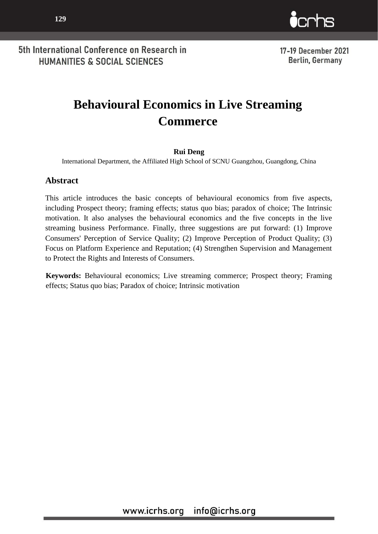



17-19 December 2021 **Berlin, Germany** 

# **Behavioural Economics in Live Streaming Commerce**

### **Rui Deng**

International Department, the Affiliated High School of SCNU Guangzhou, Guangdong, China

### **Abstract**

This article introduces the basic concepts of behavioural economics from five aspects, including Prospect theory; framing effects; status quo bias; paradox of choice; The Intrinsic motivation. It also analyses the behavioural economics and the five concepts in the live streaming business Performance. Finally, three suggestions are put forward: (1) Improve Consumers' Perception of Service Quality; (2) Improve Perception of Product Quality; (3) Focus on Platform Experience and Reputation; (4) Strengthen Supervision and Management to Protect the Rights and Interests of Consumers.

**Keywords:** Behavioural economics; Live streaming commerce; Prospect theory; Framing effects; Status quo bias; Paradox of choice; Intrinsic motivation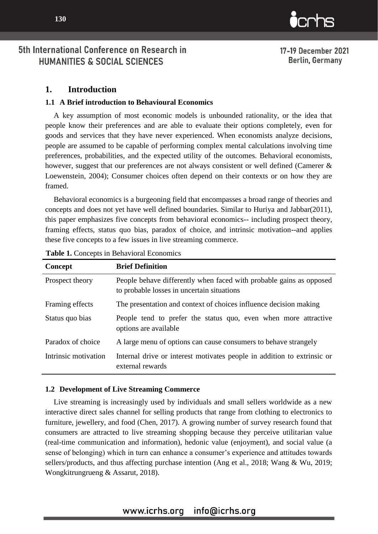www.icrhs.org info@icrhs.org

## 5th International Conference on Research in HUMANITIES & SOCIAL SCIENCES

### **1. Introduction**

### **1.1 A Brief introduction to Behavioural Economics**

A key assumption of most economic models is unbounded rationality, or the idea that people know their preferences and are able to evaluate their options completely, even for goods and services that they have never experienced. When economists analyze decisions, people are assumed to be capable of performing complex mental calculations involving time preferences, probabilities, and the expected utility of the outcomes. Behavioral economists, however, suggest that our preferences are not always consistent or well defined (Camerer & Loewenstein, 2004); Consumer choices often depend on their contexts or on how they are framed.

Behavioral economics is a burgeoning field that encompasses a broad range of theories and concepts and does not yet have well defined boundaries. Similar to Huriya and Jabbar(2011), this paper emphasizes five concepts from behavioral economics-- including prospect theory, framing effects, status quo bias, paradox of choice, and intrinsic motivation--and applies these five concepts to a few issues in live streaming commerce.

| Concept              | <b>Brief Definition</b>                                                                                           |
|----------------------|-------------------------------------------------------------------------------------------------------------------|
| Prospect theory      | People behave differently when faced with probable gains as opposed<br>to probable losses in uncertain situations |
| Framing effects      | The presentation and context of choices influence decision making                                                 |
| Status quo bias      | People tend to prefer the status quo, even when more attractive<br>options are available                          |
| Paradox of choice    | A large menu of options can cause consumers to behave strangely                                                   |
| Intrinsic motivation | Internal drive or interest motivates people in addition to extrinsic or<br>external rewards                       |

#### **Table 1.** Concepts in Behavioral Economics

### **1.2 Development of Live Streaming Commerce**

Live streaming is increasingly used by individuals and small sellers worldwide as a new interactive direct sales channel for selling products that range from clothing to electronics to furniture, jewellery, and food (Chen, 2017). A growing number of survey research found that consumers are attracted to live streaming shopping because they perceive utilitarian value (real-time communication and information), hedonic value (enjoyment), and social value (a sense of belonging) which in turn can enhance a consumer's experience and attitudes towards sellers/products, and thus affecting purchase intention (Ang et al., 2018; Wang & Wu, 2019; Wongkitrungrueng & Assarut, 2018).

 $\mathbf{\dot{c}}$ crhs

17-19 December 2021 **Berlin, Germany**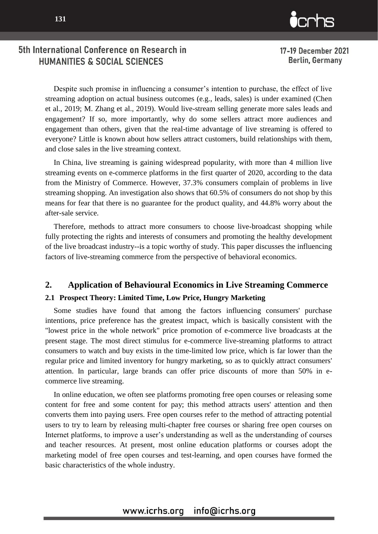

17-19 December 2021 **Berlin, Germany** 

Despite such promise in influencing a consumer's intention to purchase, the effect of live streaming adoption on actual business outcomes (e.g., leads, sales) is under examined (Chen et al., 2019; M. Zhang et al., 2019). Would live-stream selling generate more sales leads and engagement? If so, more importantly, why do some sellers attract more audiences and engagement than others, given that the real-time advantage of live streaming is offered to everyone? Little is known about how sellers attract customers, build relationships with them, and close sales in the live streaming context.

In China, live streaming is gaining widespread popularity, with more than 4 million live streaming events on e-commerce platforms in the first quarter of 2020, according to the data from the Ministry of Commerce. However, 37.3% consumers complain of problems in live streaming shopping. An investigation also shows that 60.5% of consumers do not shop by this means for fear that there is no guarantee for the product quality, and 44.8% worry about the after-sale service.

Therefore, methods to attract more consumers to choose live-broadcast shopping while fully protecting the rights and interests of consumers and promoting the healthy development of the live broadcast industry--is a topic worthy of study. This paper discusses the influencing factors of live-streaming commerce from the perspective of behavioral economics.

### **2. Application of Behavioural Economics in Live Streaming Commerce**

#### **2.1 Prospect Theory: Limited Time, Low Price, Hungry Marketing**

Some studies have found that among the factors influencing consumers' purchase intentions, price preference has the greatest impact, which is basically consistent with the "lowest price in the whole network" price promotion of e-commerce live broadcasts at the present stage. The most direct stimulus for e-commerce live-streaming platforms to attract consumers to watch and buy exists in the time-limited low price, which is far lower than the regular price and limited inventory for hungry marketing, so as to quickly attract consumers' attention. In particular, large brands can offer price discounts of more than 50% in ecommerce live streaming.

In online education, we often see platforms promoting free open courses or releasing some content for free and some content for pay; this method attracts users' attention and then converts them into paying users. Free open courses refer to the method of attracting potential users to try to learn by releasing multi-chapter free courses or sharing free open courses on Internet platforms, to improve a user's understanding as well as the understanding of courses and teacher resources. At present, most online education platforms or courses adopt the marketing model of free open courses and test-learning, and open courses have formed the basic characteristics of the whole industry.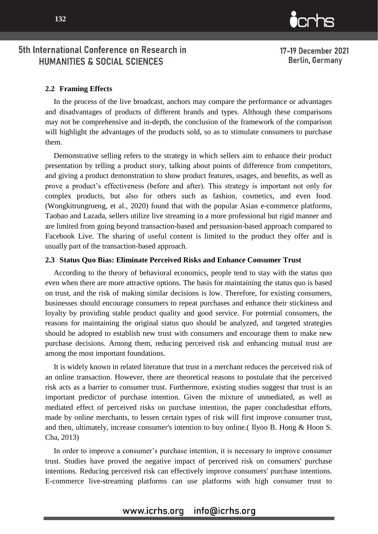

17-19 December 2021 **Berlin, Germany** 

#### **2.2 Framing Effects**

In the process of the live broadcast, anchors may compare the performance or advantages and disadvantages of products of different brands and types. Although these comparisons may not be comprehensive and in-depth, the conclusion of the framework of the comparison will highlight the advantages of the products sold, so as to stimulate consumers to purchase them.

Demonstrative selling refers to the strategy in which sellers aim to enhance their product presentation by telling a product story, talking about points of difference from competitors, and giving a product demonstration to show product features, usages, and benefits, as well as prove a product's effectiveness (before and after). This strategy is important not only for complex products, but also for others such as fashion, cosmetics, and even food. (Wongkitrungrueng, et al., 2020) found that with the popular Asian e-commerce platforms, Taobao and Lazada, sellers utilize live streaming in a more professional but rigid manner and are limited from going beyond transaction-based and persuasion-based approach compared to Facebook Live. The sharing of useful content is limited to the product they offer and is usually part of the transaction-based approach.

#### **2.3 Status Quo Bias: Eliminate Perceived Risks and Enhance Consumer Trust**

According to the theory of behavioral economics, people tend to stay with the status quo even when there are more attractive options. The basis for maintaining the status quo is based on trust, and the risk of making similar decisions is low. Therefore, for existing consumers, businesses should encourage consumers to repeat purchases and enhance their stickiness and loyalty by providing stable product quality and good service. For potential consumers, the reasons for maintaining the original status quo should be analyzed, and targeted strategies should be adopted to establish new trust with consumers and encourage them to make new purchase decisions. Among them, reducing perceived risk and enhancing mutual trust are among the most important foundations.

It is widely known in related literature that trust in a merchant reduces the perceived risk of an online transaction. However, there are theoretical reasons to postulate that the perceived risk acts as a barrier to consumer trust. Furthermore, existing studies suggest that trust is an important predictor of purchase intention. Given the mixture of unmediated, as well as mediated effect of perceived risks on purchase intention, the paper concludesthat efforts, made by online merchants, to lessen certain types of risk will first improve consumer trust, and then, ultimately, increase consumer's intention to buy online.( Ilyoo B. Hong & Hoon S. Cha, 2013)

In order to improve a consumer's purchase intention, it is necessary to improve consumer trust. Studies have proved the negative impact of perceived risk on consumers' purchase intentions. Reducing perceived risk can effectively improve consumers' purchase intentions. E-commerce live-streaming platforms can use platforms with high consumer trust to

## www.icrhs.org info@icrhs.org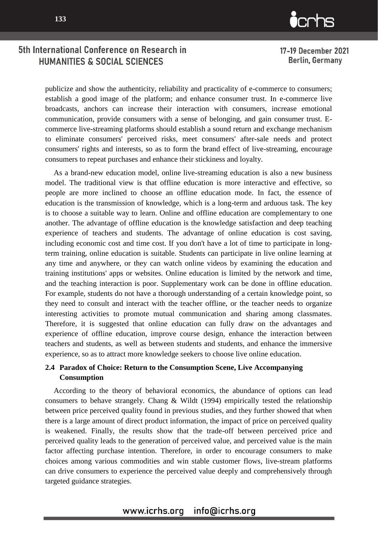**133**



## 5th International Conference on Research in HUMANITIES & SOCIAL SCIENCES

17-19 December 2021 **Berlin, Germany** 

publicize and show the authenticity, reliability and practicality of e-commerce to consumers; establish a good image of the platform; and enhance consumer trust. In e-commerce live broadcasts, anchors can increase their interaction with consumers, increase emotional communication, provide consumers with a sense of belonging, and gain consumer trust. Ecommerce live-streaming platforms should establish a sound return and exchange mechanism to eliminate consumers' perceived risks, meet consumers' after-sale needs and protect consumers' rights and interests, so as to form the brand effect of live-streaming, encourage consumers to repeat purchases and enhance their stickiness and loyalty.

As a brand-new education model, online live-streaming education is also a new business model. The traditional view is that offline education is more interactive and effective, so people are more inclined to choose an offline education mode. In fact, the essence of education is the transmission of knowledge, which is a long-term and arduous task. The key is to choose a suitable way to learn. Online and offline education are complementary to one another. The advantage of offline education is the knowledge satisfaction and deep teaching experience of teachers and students. The advantage of online education is cost saving, including economic cost and time cost. If you don't have a lot of time to participate in longterm training, online education is suitable. Students can participate in live online learning at any time and anywhere, or they can watch online videos by examining the education and training institutions' apps or websites. Online education is limited by the network and time, and the teaching interaction is poor. Supplementary work can be done in offline education. For example, students do not have a thorough understanding of a certain knowledge point, so they need to consult and interact with the teacher offline, or the teacher needs to organize interesting activities to promote mutual communication and sharing among classmates. Therefore, it is suggested that online education can fully draw on the advantages and experience of offline education, improve course design, enhance the interaction between teachers and students, as well as between students and students, and enhance the immersive experience, so as to attract more knowledge seekers to choose live online education.

### **2.4 Paradox of Choice: Return to the Consumption Scene, Live Accompanying Consumption**

According to the theory of behavioral economics, the abundance of options can lead consumers to behave strangely. Chang & Wildt (1994) empirically tested the relationship between price perceived quality found in previous studies, and they further showed that when there is a large amount of direct product information, the impact of price on perceived quality is weakened. Finally, the results show that the trade-off between perceived price and perceived quality leads to the generation of perceived value, and perceived value is the main factor affecting purchase intention. Therefore, in order to encourage consumers to make choices among various commodities and win stable customer flows, live-stream platforms can drive consumers to experience the perceived value deeply and comprehensively through targeted guidance strategies.

## www.icrhs.org info@icrhs.org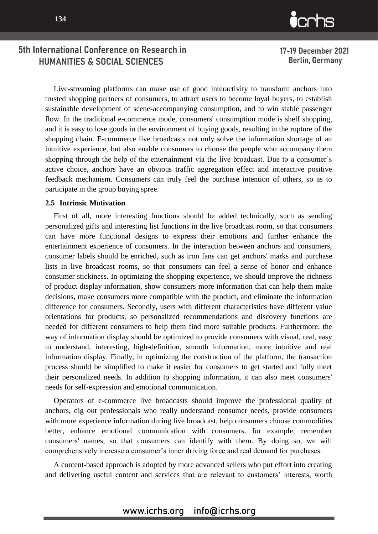

17-19 December 2021 **Berlin, Germany** 

Live-streaming platforms can make use of good interactivity to transform anchors into trusted shopping partners of consumers, to attract users to become loyal buyers, to establish sustainable development of scene-accompanying consumption, and to win stable passenger flow. In the traditional e-commerce mode, consumers' consumption mode is shelf shopping, and it is easy to lose goods in the environment of buying goods, resulting in the rupture of the shopping chain. E-commerce live broadcasts not only solve the information shortage of an intuitive experience, but also enable consumers to choose the people who accompany them shopping through the help of the entertainment via the live broadcast. Due to a consumer's active choice, anchors have an obvious traffic aggregation effect and interactive positive feedback mechanism. Consumers can truly feel the purchase intention of others, so as to participate in the group buying spree.

#### **2.5 Intrinsic Motivation**

First of all, more interesting functions should be added technically, such as sending personalized gifts and interesting list functions in the live broadcast room, so that consumers can have more functional designs to express their emotions and further enhance the entertainment experience of consumers. In the interaction between anchors and consumers, consumer labels should be enriched, such as iron fans can get anchors' marks and purchase lists in live broadcast rooms, so that consumers can feel a sense of honor and enhance consumer stickiness. In optimizing the shopping experience, we should improve the richness of product display information, show consumers more information that can help them make decisions, make consumers more compatible with the product, and eliminate the information difference for consumers. Secondly, users with different characteristics have different value orientations for products, so personalized recommendations and discovery functions are needed for different consumers to help them find more suitable products. Furthermore, the way of information display should be optimized to provide consumers with visual, real, easy to understand, interesting, high-definition, smooth information, more intuitive and real information display. Finally, in optimizing the construction of the platform, the transaction process should be simplified to make it easier for consumers to get started and fully meet their personalized needs. In addition to shopping information, it can also meet consumers' needs for self-expression and emotional communication.

Operators of e-commerce live broadcasts should improve the professional quality of anchors, dig out professionals who really understand consumer needs, provide consumers with more experience information during live broadcast, help consumers choose commodities better, enhance emotional communication with consumers, for example, remember consumers' names, so that consumers can identify with them. By doing so, we will comprehensively increase a consumer's inner driving force and real demand for purchases.

A content-based approach is adopted by more advanced sellers who put effort into creating and delivering useful content and services that are relevant to customers' interests, worth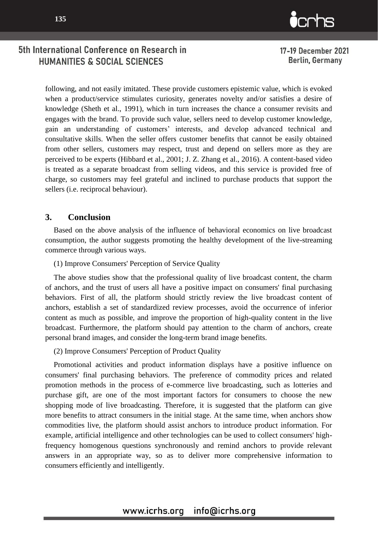

17-19 December 2021 **Berlin, Germany** 

following, and not easily imitated. These provide customers epistemic value, which is evoked when a product/service stimulates curiosity, generates novelty and/or satisfies a desire of knowledge (Sheth et al., 1991), which in turn increases the chance a consumer revisits and engages with the brand. To provide such value, sellers need to develop customer knowledge, gain an understanding of customers' interests, and develop advanced technical and consultative skills. When the seller offers customer benefits that cannot be easily obtained from other sellers, customers may respect, trust and depend on sellers more as they are perceived to be experts (Hibbard et al., 2001; J. Z. Zhang et al., 2016). A content-based video is treated as a separate broadcast from selling videos, and this service is provided free of charge, so customers may feel grateful and inclined to purchase products that support the sellers (i.e. reciprocal behaviour).

### **3. Conclusion**

Based on the above analysis of the influence of behavioral economics on live broadcast consumption, the author suggests promoting the healthy development of the live-streaming commerce through various ways.

#### (1) Improve Consumers' Perception of Service Quality

The above studies show that the professional quality of live broadcast content, the charm of anchors, and the trust of users all have a positive impact on consumers' final purchasing behaviors. First of all, the platform should strictly review the live broadcast content of anchors, establish a set of standardized review processes, avoid the occurrence of inferior content as much as possible, and improve the proportion of high-quality content in the live broadcast. Furthermore, the platform should pay attention to the charm of anchors, create personal brand images, and consider the long-term brand image benefits.

(2) Improve Consumers' Perception of Product Quality

Promotional activities and product information displays have a positive influence on consumers' final purchasing behaviors. The preference of commodity prices and related promotion methods in the process of e-commerce live broadcasting, such as lotteries and purchase gift, are one of the most important factors for consumers to choose the new shopping mode of live broadcasting. Therefore, it is suggested that the platform can give more benefits to attract consumers in the initial stage. At the same time, when anchors show commodities live, the platform should assist anchors to introduce product information. For example, artificial intelligence and other technologies can be used to collect consumers' highfrequency homogenous questions synchronously and remind anchors to provide relevant answers in an appropriate way, so as to deliver more comprehensive information to consumers efficiently and intelligently.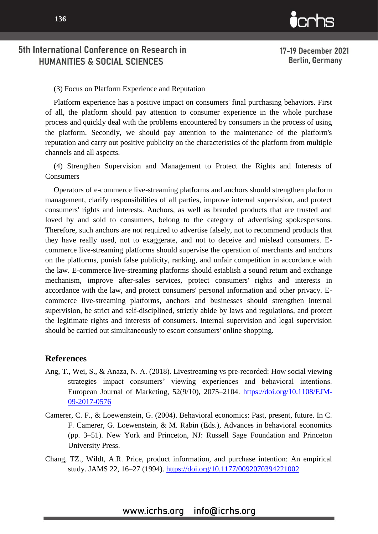



17-19 December 2021 **Berlin, Germany** 

5th International Conference on Research in HUMANITIES & SOCIAL SCIENCES

(3) Focus on Platform Experience and Reputation

Platform experience has a positive impact on consumers' final purchasing behaviors. First of all, the platform should pay attention to consumer experience in the whole purchase process and quickly deal with the problems encountered by consumers in the process of using the platform. Secondly, we should pay attention to the maintenance of the platform's reputation and carry out positive publicity on the characteristics of the platform from multiple channels and all aspects.

(4) Strengthen Supervision and Management to Protect the Rights and Interests of **Consumers** 

Operators of e-commerce live-streaming platforms and anchors should strengthen platform management, clarify responsibilities of all parties, improve internal supervision, and protect consumers' rights and interests. Anchors, as well as branded products that are trusted and loved by and sold to consumers, belong to the category of advertising spokespersons. Therefore, such anchors are not required to advertise falsely, not to recommend products that they have really used, not to exaggerate, and not to deceive and mislead consumers. Ecommerce live-streaming platforms should supervise the operation of merchants and anchors on the platforms, punish false publicity, ranking, and unfair competition in accordance with the law. E-commerce live-streaming platforms should establish a sound return and exchange mechanism, improve after-sales services, protect consumers' rights and interests in accordance with the law, and protect consumers' personal information and other privacy. Ecommerce live-streaming platforms, anchors and businesses should strengthen internal supervision, be strict and self-disciplined, strictly abide by laws and regulations, and protect the legitimate rights and interests of consumers. Internal supervision and legal supervision should be carried out simultaneously to escort consumers' online shopping.

#### **References**

- Ang, T., Wei, S., & Anaza, N. A. (2018). Livestreaming vs pre-recorded: How social viewing strategies impact consumers' viewing experiences and behavioral intentions. European Journal of Marketing, 52(9/10), 2075–2104. [https://doi.org/10.1108/EJM-](https://doi.org/10.1108/EJM-09-2017-0576)[09-2017-0576](https://doi.org/10.1108/EJM-09-2017-0576)
- Camerer, C. F., & Loewenstein, G. (2004). Behavioral economics: Past, present, future. In C. F. Camerer, G. Loewenstein, & M. Rabin (Eds.), Advances in behavioral economics (pp. 3–51). New York and Princeton, NJ: Russell Sage Foundation and Princeton University Press.
- Chang, TZ., Wildt, A.R. Price, product information, and purchase intention: An empirical study. JAMS 22, 16–27 (1994).<https://doi.org/10.1177/0092070394221002>